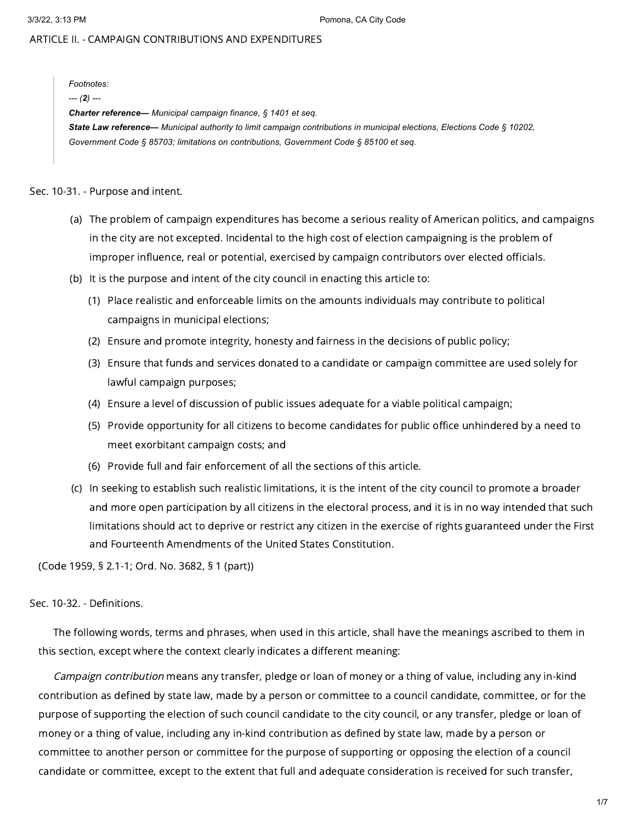# ARTICLE II. - CAMPAIGN CONTRIBUTIONS AND EXPENDITURES

*Footnotes:*

*--- (2) ---*

*Charter reference— Municipal campaign finance, § 1401 et seq.* State Law reference— Municipal authority to limit campaign contributions in municipal elections. Elections Code § 10202. *Government Code § 85703; limitations on contributions, Government Code § 85100 et seq.*

Sec. 10-31. - Purpose and intent.

- (a) The problem of campaign expenditures has become a serious reality of American politics, and campaigns in the city are not excepted. Incidental to the high cost of election campaigning is the problem of improper influence, real or potential, exercised by campaign contributors over elected officials.
- (b) It is the purpose and intent of the city council in enacting this article to:
	- (1) Place realistic and enforceable limits on the amounts individuals may contribute to political campaigns in municipal elections;
	- (2) Ensure and promote integrity, honesty and fairness in the decisions of public policy;
	- (3) Ensure that funds and services donated to a candidate or campaign committee are used solely for lawful campaign purposes;
	- (4) Ensure a level of discussion of public issues adequate for a viable political campaign;
	- (5) Provide opportunity for all citizens to become candidates for public office unhindered by a need to meet exorbitant campaign costs; and
	- (6) Provide full and fair enforcement of all the sections of this article.
- (c) In seeking to establish such realistic limitations, it is the intent of the city council to promote a broader and more open participation by all citizens in the electoral process, and it is in no way intended that such limitations should act to deprive or restrict any citizen in the exercise of rights guaranteed under the First and Fourteenth Amendments of the United States Constitution.

(Code 1959, § 2.1-1; Ord. No. 3682, § 1 (part))

Sec. 10-32. - Definitions.

The following words, terms and phrases, when used in this article, shall have the meanings ascribed to them in this section, except where the context clearly indicates a different meaning:

Campaign contribution means any transfer, pledge or loan of money or a thing of value, including any in-kind contribution as defined by state law, made by a person or committee to a council candidate, committee, or for the purpose of supporting the election of such council candidate to the city council, or any transfer, pledge or loan of money or a thing of value, including any in-kind contribution as defined by state law, made by a person or committee to another person or committee for the purpose of supporting or opposing the election of a council candidate or committee, except to the extent that full and adequate consideration is received for such transfer,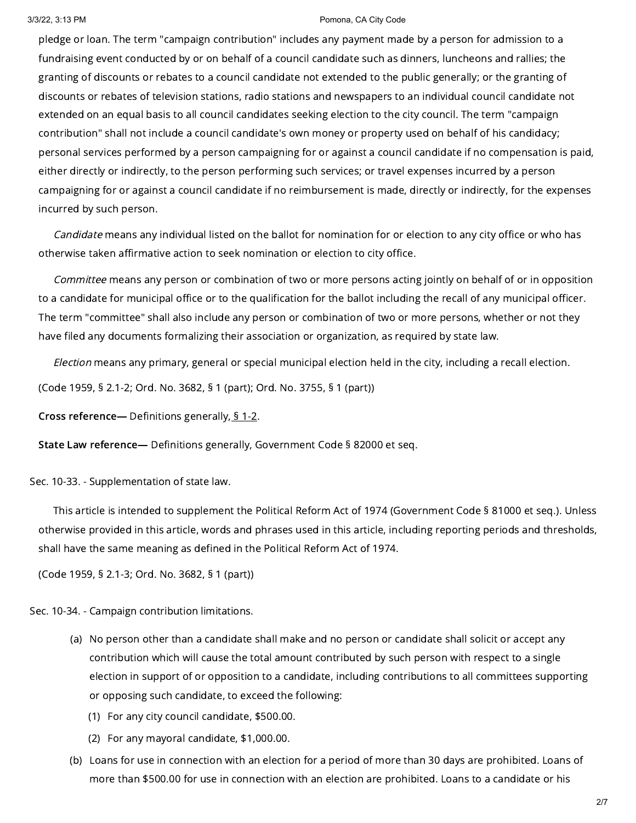pledge or loan. The term "campaign contribution" includes any payment made by a person for admission to a fundraising event conducted by or on behalf of a council candidate such as dinners, luncheons and rallies; the granting of discounts or rebates to a council candidate not extended to the public generally; or the granting of discounts or rebates of television stations, radio stations and newspapers to an individual council candidate not extended on an equal basis to all council candidates seeking election to the city council. The term "campaign contribution" shall not include a council candidate's own money or property used on behalf of his candidacy; personal services performed by a person campaigning for or against a council candidate if no compensation is paid, either directly or indirectly, to the person performing such services; or travel expenses incurred by a person campaigning for or against a council candidate if no reimbursement is made, directly or indirectly, for the expenses incurred by such person.

Candidate means any individual listed on the ballot for nomination for or election to any city office or who has otherwise taken affirmative action to seek nomination or election to city office.

Committee means any person or combination of two or more persons acting jointly on behalf of or in opposition to a candidate for municipal office or to the qualification for the ballot including the recall of any municipal officer. The term "committee" shall also include any person or combination of two or more persons, whether or not they have filed any documents formalizing their association or organization, as required by state law.

Election means any primary, general or special municipal election held in the city, including a recall election.

(Code 1959, § 2.1-2; Ord. No. 3682, § 1 (part); Ord. No. 3755, § 1 (part))

Cross reference— Definitions generally, § [1-2](https://library.municode.com/).

State Law reference— Definitions generally, Government Code § 82000 et seq.

Sec. 10-33. - Supplementation of state law.

This article is intended to supplement the Political Reform Act of 1974 (Government Code § 81000 et seq.). Unless otherwise provided in this article, words and phrases used in this article, including reporting periods and thresholds, shall have the same meaning as defined in the Political Reform Act of 1974.

(Code 1959, § 2.1-3; Ord. No. 3682, § 1 (part))

Sec. 10-34. - Campaign contribution limitations.

- (a) No person other than a candidate shall make and no person or candidate shall solicit or accept any contribution which will cause the total amount contributed by such person with respect to a single election in support of or opposition to a candidate, including contributions to all committees supporting or opposing such candidate, to exceed the following:
	- (1) For any city council candidate, \$500.00.
	- (2) For any mayoral candidate, \$1,000.00.
- (b) Loans for use in connection with an election for a period of more than 30 days are prohibited. Loans of more than \$500.00 for use in connection with an election are prohibited. Loans to a candidate or his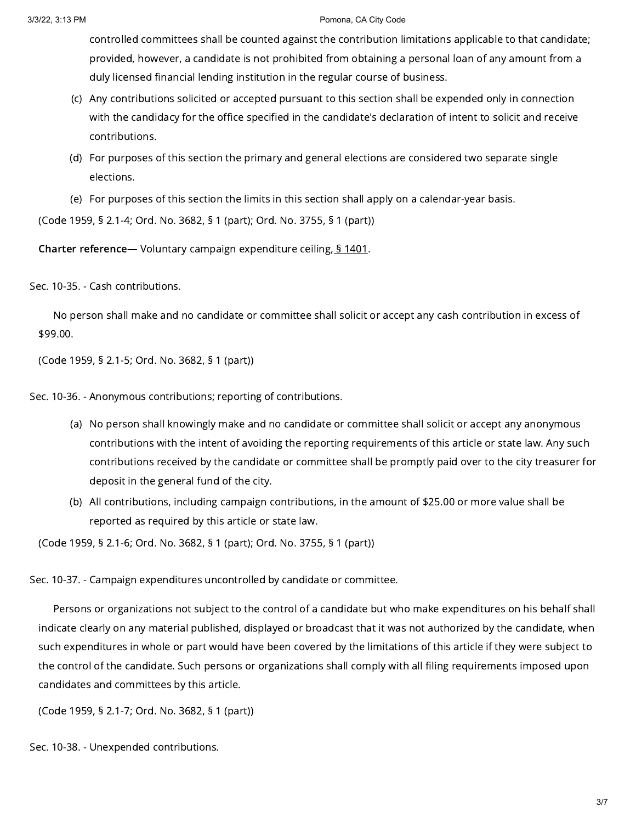controlled committees shall be counted against the contribution limitations applicable to that candidate; provided, however, a candidate is not prohibited from obtaining a personal loan of any amount from a duly licensed financial lending institution in the regular course of business.

- (c) Any contributions solicited or accepted pursuant to this section shall be expended only in connection with the candidacy for the office specified in the candidate's declaration of intent to solicit and receive contributions.
- (d) For purposes of this section the primary and general elections are considered two separate single elections.
- (e) For purposes of this section the limits in this section shall apply on a calendar-year basis.

(Code 1959, § 2.1-4; Ord. No. 3682, § 1 (part); Ord. No. 3755, § 1 (part))

Charter reference— Voluntary campaign expenditure ceiling, § [1401](https://library.municode.com/).

Sec. 10-35. - Cash contributions.

No person shall make and no candidate or committee shall solicit or accept any cash contribution in excess of \$99.00.

(Code 1959, § 2.1-5; Ord. No. 3682, § 1 (part))

Sec. 10-36. - Anonymous contributions; reporting of contributions.

- (a) No person shall knowingly make and no candidate or committee shall solicit or accept any anonymous contributions with the intent of avoiding the reporting requirements of this article or state law. Any such contributions received by the candidate or committee shall be promptly paid over to the city treasurer for deposit in the general fund of the city.
- (b) All contributions, including campaign contributions, in the amount of \$25.00 or more value shall be reported as required by this article or state law.

(Code 1959, § 2.1-6; Ord. No. 3682, § 1 (part); Ord. No. 3755, § 1 (part))

Sec. 10-37. - Campaign expenditures uncontrolled by candidate or committee.

Persons or organizations not subject to the control of a candidate but who make expenditures on his behalf shall indicate clearly on any material published, displayed or broadcast that it was not authorized by the candidate, when such expenditures in whole or part would have been covered by the limitations of this article if they were subject to the control of the candidate. Such persons or organizations shall comply with all filing requirements imposed upon candidates and committees by this article.

(Code 1959, § 2.1-7; Ord. No. 3682, § 1 (part))

Sec. 10-38. - Unexpended contributions.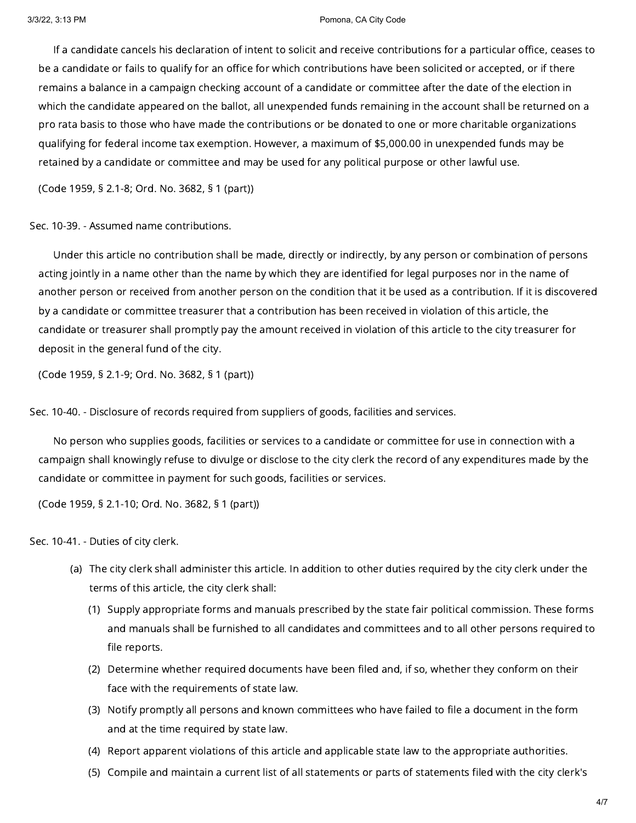If a candidate cancels his declaration of intent to solicit and receive contributions for a particular office, ceases to be a candidate or fails to qualify for an office for which contributions have been solicited or accepted, or if there remains a balance in a campaign checking account of a candidate or committee after the date of the election in which the candidate appeared on the ballot, all unexpended funds remaining in the account shall be returned on a pro rata basis to those who have made the contributions or be donated to one or more charitable organizations qualifying for federal income tax exemption. However, a maximum of \$5,000.00 in unexpended funds may be retained by a candidate or committee and may be used for any political purpose or other lawful use.

(Code 1959, § 2.1-8; Ord. No. 3682, § 1 (part))

Sec. 10-39. - Assumed name contributions.

Under this article no contribution shall be made, directly or indirectly, by any person or combination of persons acting jointly in a name other than the name by which they are identified for legal purposes nor in the name of another person or received from another person on the condition that it be used as a contribution. If it is discovered by a candidate or committee treasurer that a contribution has been received in violation of this article, the candidate or treasurer shall promptly pay the amount received in violation of this article to the city treasurer for deposit in the general fund of the city.

(Code 1959, § 2.1-9; Ord. No. 3682, § 1 (part))

Sec. 10-40. - Disclosure of records required from suppliers of goods, facilities and services.

No person who supplies goods, facilities or services to a candidate or committee for use in connection with a campaign shall knowingly refuse to divulge or disclose to the city clerk the record of any expenditures made by the candidate or committee in payment for such goods, facilities or services.

(Code 1959, § 2.1-10; Ord. No. 3682, § 1 (part))

Sec. 10-41. - Duties of city clerk.

- (a) The city clerk shall administer this article. In addition to other duties required by the city clerk under the terms of this article, the city clerk shall:
	- (1) Supply appropriate forms and manuals prescribed by the state fair political commission. These forms and manuals shall be furnished to all candidates and committees and to all other persons required to file reports.
	- (2) Determine whether required documents have been filed and, if so, whether they conform on their face with the requirements of state law.
	- (3) Notify promptly all persons and known committees who have failed to file a document in the form and at the time required by state law.
	- (4) Report apparent violations of this article and applicable state law to the appropriate authorities.
	- (5) Compile and maintain a current list of all statements or parts of statements filed with the city clerk's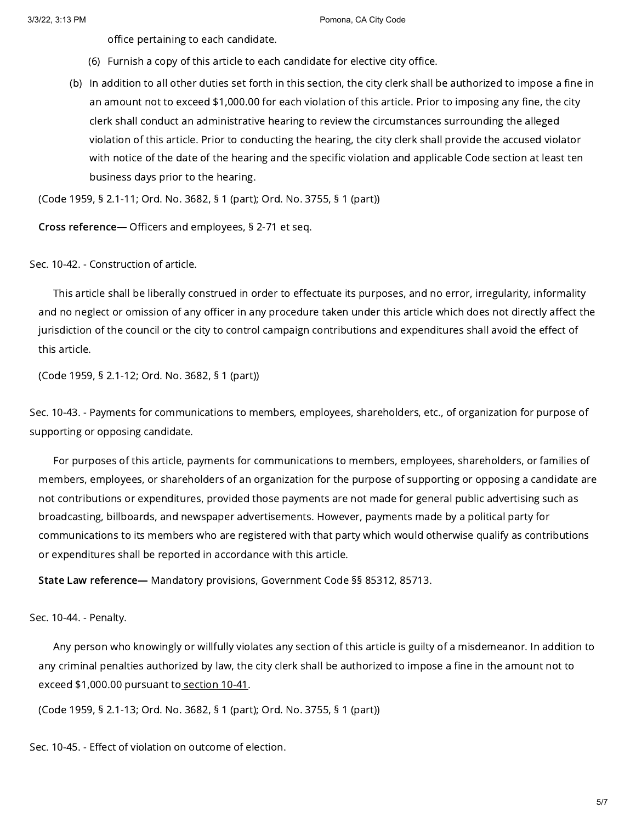office pertaining to each candidate.

- (6) Furnish a copy of this article to each candidate for elective city office.
- (b) In addition to all other duties set forth in this section, the city clerk shall be authorized to impose a fine in an amount not to exceed \$1,000.00 for each violation of this article. Prior to imposing any fine, the city clerk shall conduct an administrative hearing to review the circumstances surrounding the alleged violation of this article. Prior to conducting the hearing, the city clerk shall provide the accused violator with notice of the date of the hearing and the specific violation and applicable Code section at least ten business days prior to the hearing.

(Code 1959, § 2.1-11; Ord. No. 3682, § 1 (part); Ord. No. 3755, § 1 (part))

Cross reference— Officers and employees, § 2-71 et seq.

## Sec. 10-42. - Construction of article.

This article shall be liberally construed in order to effectuate its purposes, and no error, irregularity, informality and no neglect or omission of any officer in any procedure taken under this article which does not directly affect the jurisdiction of the council or the city to control campaign contributions and expenditures shall avoid the effect of this article.

(Code 1959, § 2.1-12; Ord. No. 3682, § 1 (part))

Sec. 10-43. - Payments for communications to members, employees, shareholders, etc., of organization for purpose of supporting or opposing candidate.

For purposes of this article, payments for communications to members, employees, shareholders, or families of members, employees, or shareholders of an organization for the purpose of supporting or opposing a candidate are not contributions or expenditures, provided those payments are not made for general public advertising such as broadcasting, billboards, and newspaper advertisements. However, payments made by a political party for communications to its members who are registered with that party which would otherwise qualify as contributions or expenditures shall be reported in accordance with this article.

State Law reference— Mandatory provisions, Government Code §§ 85312, 85713.

Sec. 10-44. - Penalty.

Any person who knowingly or willfully violates any section of this article is guilty of a misdemeanor. In addition to any criminal penalties authorized by law, the city clerk shall be authorized to impose a fine in the amount not to exceed \$1,000.00 pursuant to [section](https://library.municode.com/) 10-41.

(Code 1959, § 2.1-13; Ord. No. 3682, § 1 (part); Ord. No. 3755, § 1 (part))

Sec. 10-45. - Effect of violation on outcome of election.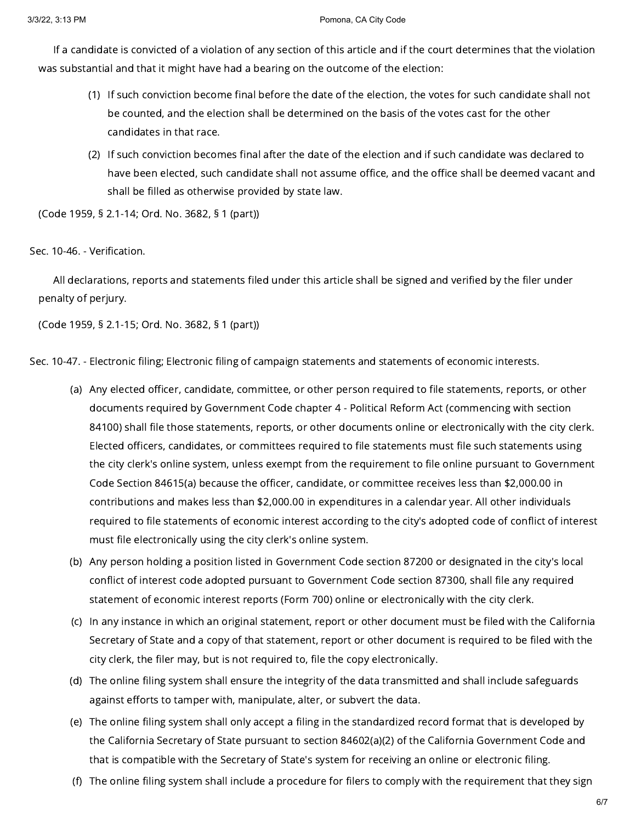If a candidate is convicted of a violation of any section of this article and if the court determines that the violation was substantial and that it might have had a bearing on the outcome of the election:

- (1) If such conviction become final before the date of the election, the votes for such candidate shall not be counted, and the election shall be determined on the basis of the votes cast for the other candidates in that race.
- (2) If such conviction becomes final after the date of the election and if such candidate was declared to have been elected, such candidate shall not assume office, and the office shall be deemed vacant and shall be filled as otherwise provided by state law.

(Code 1959, § 2.1-14; Ord. No. 3682, § 1 (part))

# Sec. 10-46. - Verification.

All declarations, reports and statements filed under this article shall be signed and verified by the filer under penalty of perjury.

(Code 1959, § 2.1-15; Ord. No. 3682, § 1 (part))

Sec. 10-47. - Electronic filing; Electronic filing of campaign statements and statements of economic interests.

- (a) Any elected officer, candidate, committee, or other person required to file statements, reports, or other documents required by Government Code chapter 4 - Political Reform Act (commencing with section 84100) shall file those statements, reports, or other documents online or electronically with the city clerk. Elected officers, candidates, or committees required to file statements must file such statements using the city clerk's online system, unless exempt from the requirement to file online pursuant to Government Code Section 84615(a) because the officer, candidate, or committee receives less than \$2,000.00 in contributions and makes less than \$2,000.00 in expenditures in a calendar year. All other individuals required to file statements of economic interest according to the city's adopted code of conflict of interest must file electronically using the city clerk's online system.
- (b) Any person holding a position listed in Government Code section 87200 or designated in the city's local conflict of interest code adopted pursuant to Government Code section 87300, shall file any required statement of economic interest reports (Form 700) online or electronically with the city clerk.
- (c) In any instance in which an original statement, report or other document must be filed with the California Secretary of State and a copy of that statement, report or other document is required to be filed with the city clerk, the filer may, but is not required to, file the copy electronically.
- (d) The online filing system shall ensure the integrity of the data transmitted and shall include safeguards against efforts to tamper with, manipulate, alter, or subvert the data.
- (e) The online filing system shall only accept a filing in the standardized record format that is developed by the California Secretary of State pursuant to section 84602(a)(2) of the California Government Code and that is compatible with the Secretary of State's system for receiving an online or electronic filing.
- (f) The online filing system shall include a procedure for filers to comply with the requirement that they sign